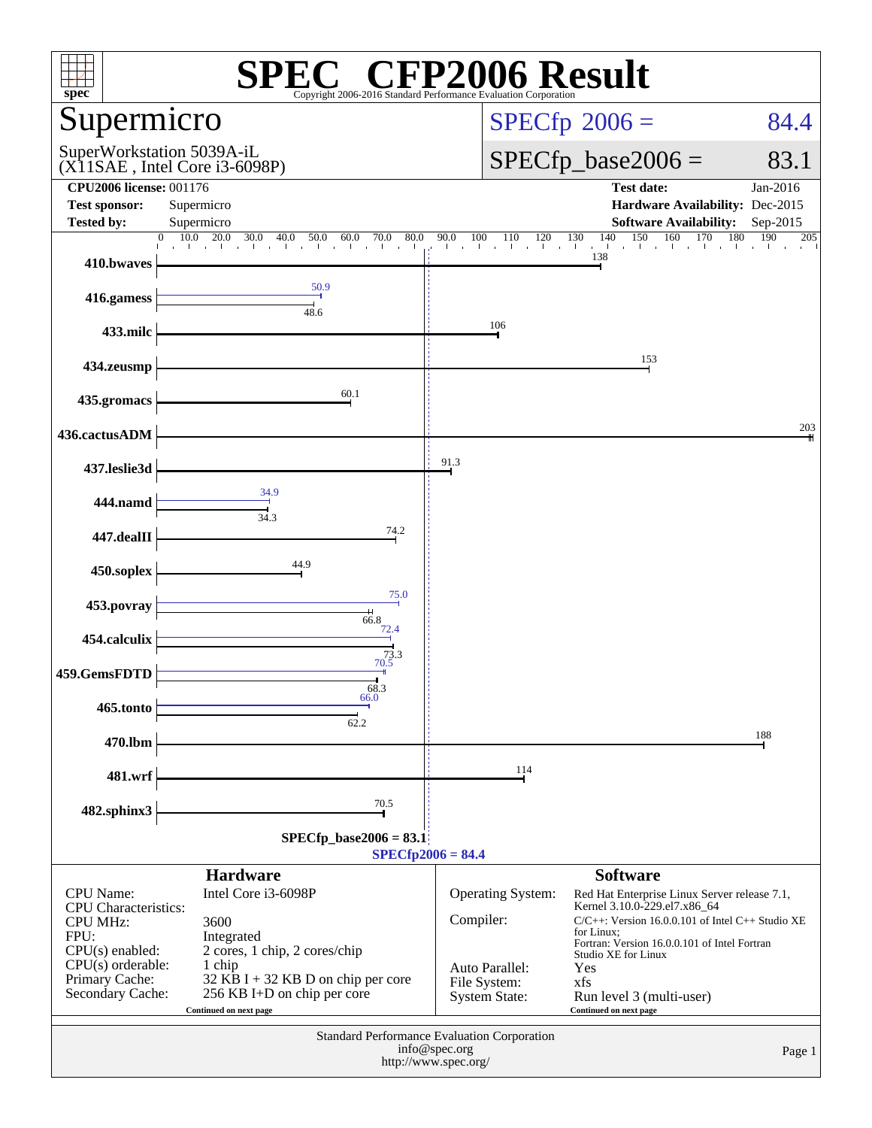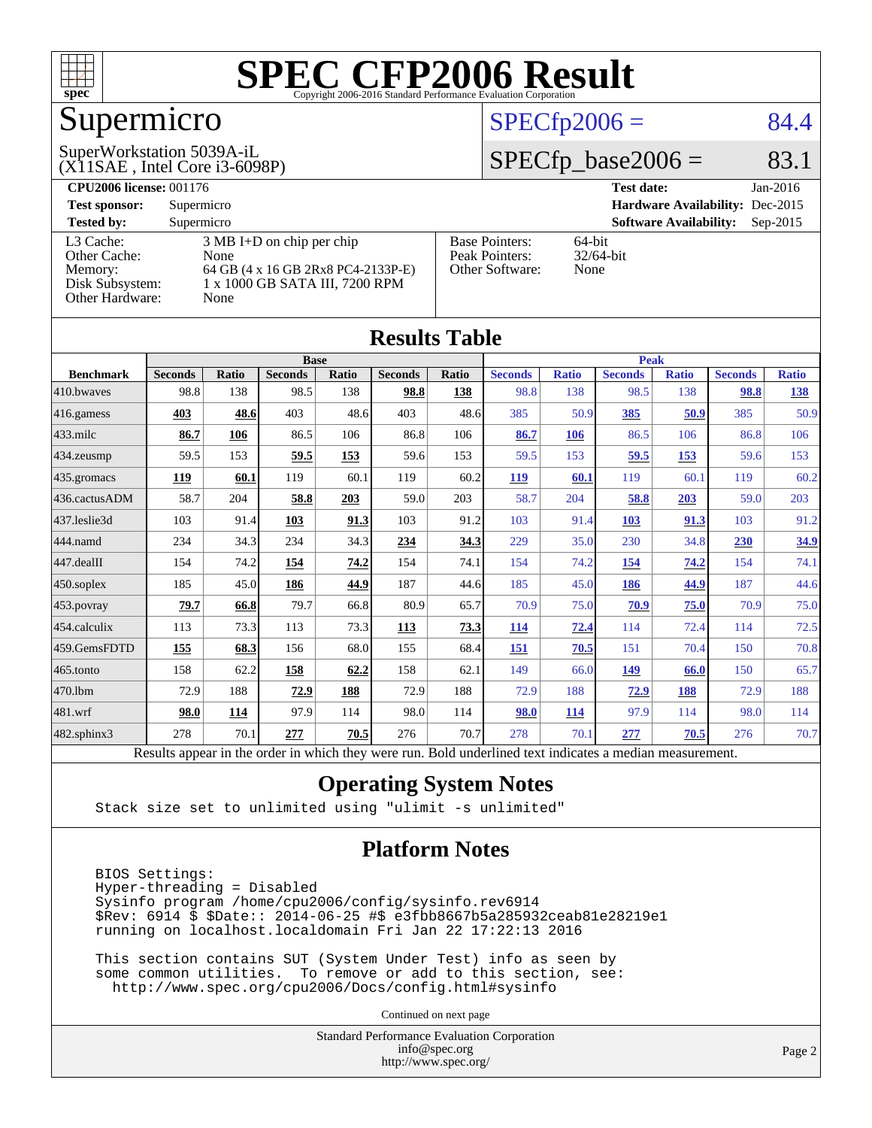

# Supermicro

### (X11SAE , Intel Core i3-6098P) SuperWorkstation 5039A-iL

### $SPECfp2006 = 84.4$  $SPECfp2006 = 84.4$

### $SPECTp\_base2006 = 83.1$

| <b>CPU2006 license: 001176</b> |                                     |                       | <b>Test date:</b><br>$Jan-2016$             |
|--------------------------------|-------------------------------------|-----------------------|---------------------------------------------|
| <b>Test sponsor:</b>           | Supermicro                          |                       | Hardware Availability: Dec-2015             |
| <b>Tested by:</b>              | Supermicro                          |                       | <b>Software Availability:</b><br>$Sep-2015$ |
| L3 Cache:                      | $3 \text{ MB I+D}$ on chip per chip | <b>Base Pointers:</b> | $64$ -bit                                   |
| Other Cache:                   | None                                | Peak Pointers:        | $32/64$ -bit                                |
| Memory:                        | 64 GB (4 x 16 GB 2Rx8 PC4-2133P-E)  | Other Software:       | None                                        |
| Disk Subsystem:                | 1 x 1000 GB SATA III, 7200 RPM      |                       |                                             |
| Other Hardware:                | None                                |                       |                                             |

**[Results Table](http://www.spec.org/auto/cpu2006/Docs/result-fields.html#ResultsTable)**

| Results Table    |                                                                                                          |       |                |       |                |              |                |              |                |              |                |              |
|------------------|----------------------------------------------------------------------------------------------------------|-------|----------------|-------|----------------|--------------|----------------|--------------|----------------|--------------|----------------|--------------|
|                  | <b>Base</b>                                                                                              |       |                |       |                | <b>Peak</b>  |                |              |                |              |                |              |
| <b>Benchmark</b> | <b>Seconds</b>                                                                                           | Ratio | <b>Seconds</b> | Ratio | <b>Seconds</b> | <b>Ratio</b> | <b>Seconds</b> | <b>Ratio</b> | <b>Seconds</b> | <b>Ratio</b> | <b>Seconds</b> | <b>Ratio</b> |
| 410.bwayes       | 98.8                                                                                                     | 138   | 98.5           | 138   | 98.8           | 138          | 98.8           | 138          | 98.5           | 138          | 98.8           | <u>138</u>   |
| 416.gamess       | 403                                                                                                      | 48.6  | 403            | 48.6  | 403            | 48.6         | 385            | 50.9         | 385            | 50.9         | 385            | 50.9         |
| 433.milc         | 86.7                                                                                                     | 106   | 86.5           | 106   | 86.8           | 106          | 86.7           | 106          | 86.5           | 106          | 86.8           | 106          |
| 434.zeusmp       | 59.5                                                                                                     | 153   | 59.5           | 153   | 59.6           | 153          | 59.5           | 153          | 59.5           | 153          | 59.6           | 153          |
| 435.gromacs      | 119                                                                                                      | 60.1  | 119            | 60.1  | 119            | 60.2         | 119            | 60.1         | 119            | 60.1         | 119            | 60.2         |
| 436.cactusADM    | 58.7                                                                                                     | 204   | 58.8           | 203   | 59.0           | 203          | 58.7           | 204          | 58.8           | 203          | 59.0           | 203          |
| 437.leslie3d     | 103                                                                                                      | 91.4  | 103            | 91.3  | 103            | 91.2         | 103            | 91.4         | 103            | 91.3         | 103            | 91.2         |
| 444.namd         | 234                                                                                                      | 34.3  | 234            | 34.3  | 234            | 34.3         | 229            | 35.0         | 230            | 34.8         | 230            | 34.9         |
| 447.dealII       | 154                                                                                                      | 74.2  | 154            | 74.2  | 154            | 74.1         | 154            | 74.2         | 154            | 74.2         | 154            | 74.1         |
| $450$ .soplex    | 185                                                                                                      | 45.0  | 186            | 44.9  | 187            | 44.6         | 185            | 45.0         | 186            | 44.9         | 187            | 44.6         |
| 453.povray       | 79.7                                                                                                     | 66.8  | 79.7           | 66.8  | 80.9           | 65.7         | 70.9           | 75.0         | 70.9           | 75.0         | 70.9           | 75.0         |
| 454.calculix     | 113                                                                                                      | 73.3  | 113            | 73.3  | 113            | 73.3         | <b>114</b>     | 72.4         | 114            | 72.4         | 114            | 72.5         |
| 459.GemsFDTD     | 155                                                                                                      | 68.3  | 156            | 68.0  | 155            | 68.4         | 151            | 70.5         | 151            | 70.4         | 150            | 70.8         |
| 465.tonto        | 158                                                                                                      | 62.2  | 158            | 62.2  | 158            | 62.1         | 149            | 66.0         | 149            | 66.0         | 150            | 65.7         |
| 470.1bm          | 72.9                                                                                                     | 188   | 72.9           | 188   | 72.9           | 188          | 72.9           | 188          | 72.9           | 188          | 72.9           | 188          |
| 481.wrf          | 98.0                                                                                                     | 114   | 97.9           | 114   | 98.0           | 114          | 98.0           | 114          | 97.9           | 114          | 98.0           | 114          |
| 482.sphinx3      | 278                                                                                                      | 70.1  | 277            | 70.5  | 276            | 70.7         | 278            | 70.1         | 277            | 70.5         | 276            | 70.7         |
|                  | Results appear in the order in which they were run. Bold underlined text indicates a median measurement. |       |                |       |                |              |                |              |                |              |                |              |

### **[Operating System Notes](http://www.spec.org/auto/cpu2006/Docs/result-fields.html#OperatingSystemNotes)**

Stack size set to unlimited using "ulimit -s unlimited"

### **[Platform Notes](http://www.spec.org/auto/cpu2006/Docs/result-fields.html#PlatformNotes)**

 BIOS Settings: Hyper-threading = Disabled Sysinfo program /home/cpu2006/config/sysinfo.rev6914 \$Rev: 6914 \$ \$Date:: 2014-06-25 #\$ e3fbb8667b5a285932ceab81e28219e1 running on localhost.localdomain Fri Jan 22 17:22:13 2016

 This section contains SUT (System Under Test) info as seen by some common utilities. To remove or add to this section, see: <http://www.spec.org/cpu2006/Docs/config.html#sysinfo>

Continued on next page

Standard Performance Evaluation Corporation [info@spec.org](mailto:info@spec.org) <http://www.spec.org/>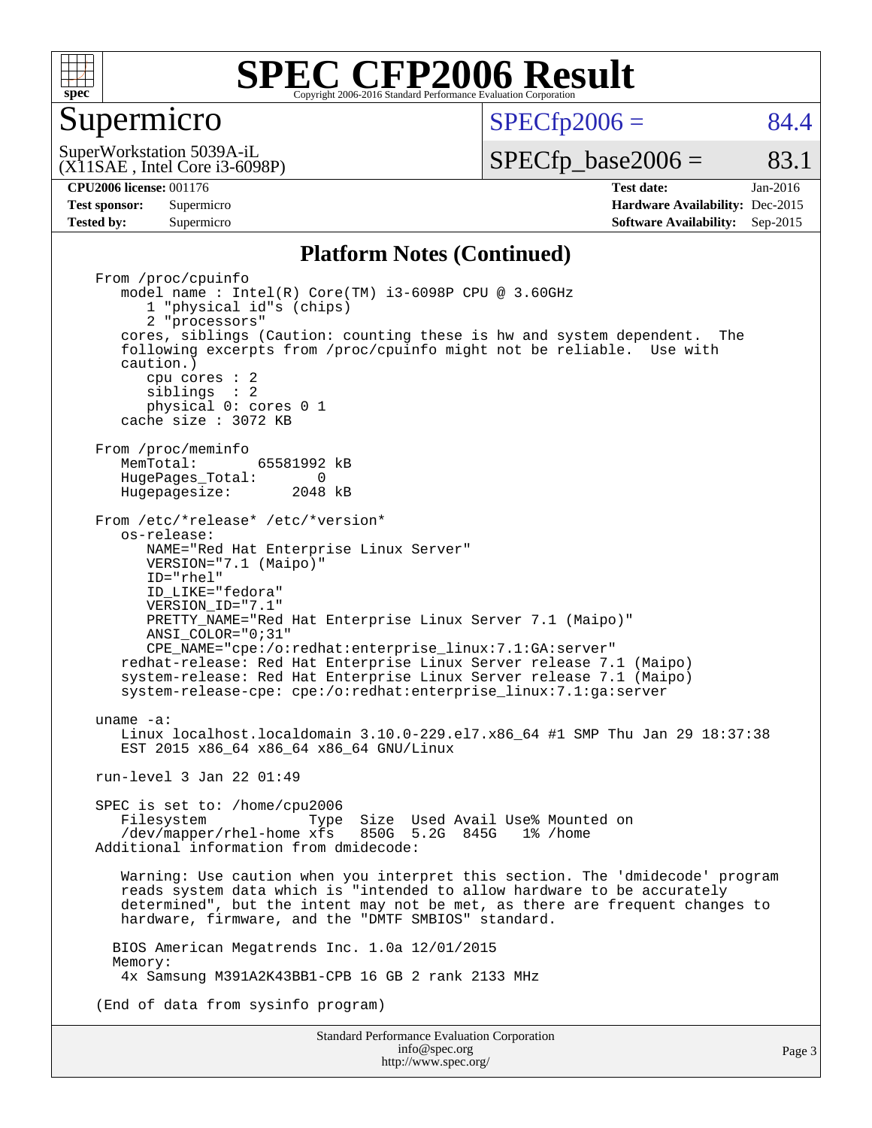

### Supermicro

 $SPECTp2006 = 84.4$ 

(X11SAE , Intel Core i3-6098P) SuperWorkstation 5039A-iL

 $SPECTp\_base2006 =$  83.1

Page 3

**[CPU2006 license:](http://www.spec.org/auto/cpu2006/Docs/result-fields.html#CPU2006license)** 001176 **[Test date:](http://www.spec.org/auto/cpu2006/Docs/result-fields.html#Testdate)** Jan-2016 **[Test sponsor:](http://www.spec.org/auto/cpu2006/Docs/result-fields.html#Testsponsor)** Supermicro **[Hardware Availability:](http://www.spec.org/auto/cpu2006/Docs/result-fields.html#HardwareAvailability)** Dec-2015 **[Tested by:](http://www.spec.org/auto/cpu2006/Docs/result-fields.html#Testedby)** Supermicro **Supermicro [Software Availability:](http://www.spec.org/auto/cpu2006/Docs/result-fields.html#SoftwareAvailability)** Sep-2015

### **[Platform Notes \(Continued\)](http://www.spec.org/auto/cpu2006/Docs/result-fields.html#PlatformNotes)**

Standard Performance Evaluation Corporation From /proc/cpuinfo model name : Intel(R) Core(TM) i3-6098P CPU @ 3.60GHz 1 "physical id"s (chips) 2 "processors" cores, siblings (Caution: counting these is hw and system dependent. The following excerpts from /proc/cpuinfo might not be reliable. Use with caution.) cpu cores : 2 siblings : 2 physical 0: cores 0 1 cache size : 3072 KB From /proc/meminfo<br>MemTotal: 65581992 kB HugePages\_Total: 0<br>Hugepagesize: 2048 kB Hugepagesize: From /etc/\*release\* /etc/\*version\* os-release: NAME="Red Hat Enterprise Linux Server" VERSION="7.1 (Maipo)" ID="rhel" ID\_LIKE="fedora" VERSION\_ID="7.1" PRETTY NAME="Red Hat Enterprise Linux Server 7.1 (Maipo)" ANSI\_COLOR="0;31" CPE\_NAME="cpe:/o:redhat:enterprise\_linux:7.1:GA:server" redhat-release: Red Hat Enterprise Linux Server release 7.1 (Maipo) system-release: Red Hat Enterprise Linux Server release 7.1 (Maipo) system-release-cpe: cpe:/o:redhat:enterprise\_linux:7.1:ga:server uname -a: Linux localhost.localdomain 3.10.0-229.el7.x86\_64 #1 SMP Thu Jan 29 18:37:38 EST 2015 x86\_64 x86\_64 x86\_64 GNU/Linux run-level 3 Jan 22 01:49 SPEC is set to: /home/cpu2006<br>Filesystem Type Filesystem Type Size Used Avail Use% Mounted on /dev/mapper/rhel-home xfs 850G 5.2G 845G 1% /home Additional information from dmidecode: Warning: Use caution when you interpret this section. The 'dmidecode' program reads system data which is "intended to allow hardware to be accurately determined", but the intent may not be met, as there are frequent changes to hardware, firmware, and the "DMTF SMBIOS" standard. BIOS American Megatrends Inc. 1.0a 12/01/2015 Memory: 4x Samsung M391A2K43BB1-CPB 16 GB 2 rank 2133 MHz (End of data from sysinfo program)

> [info@spec.org](mailto:info@spec.org) <http://www.spec.org/>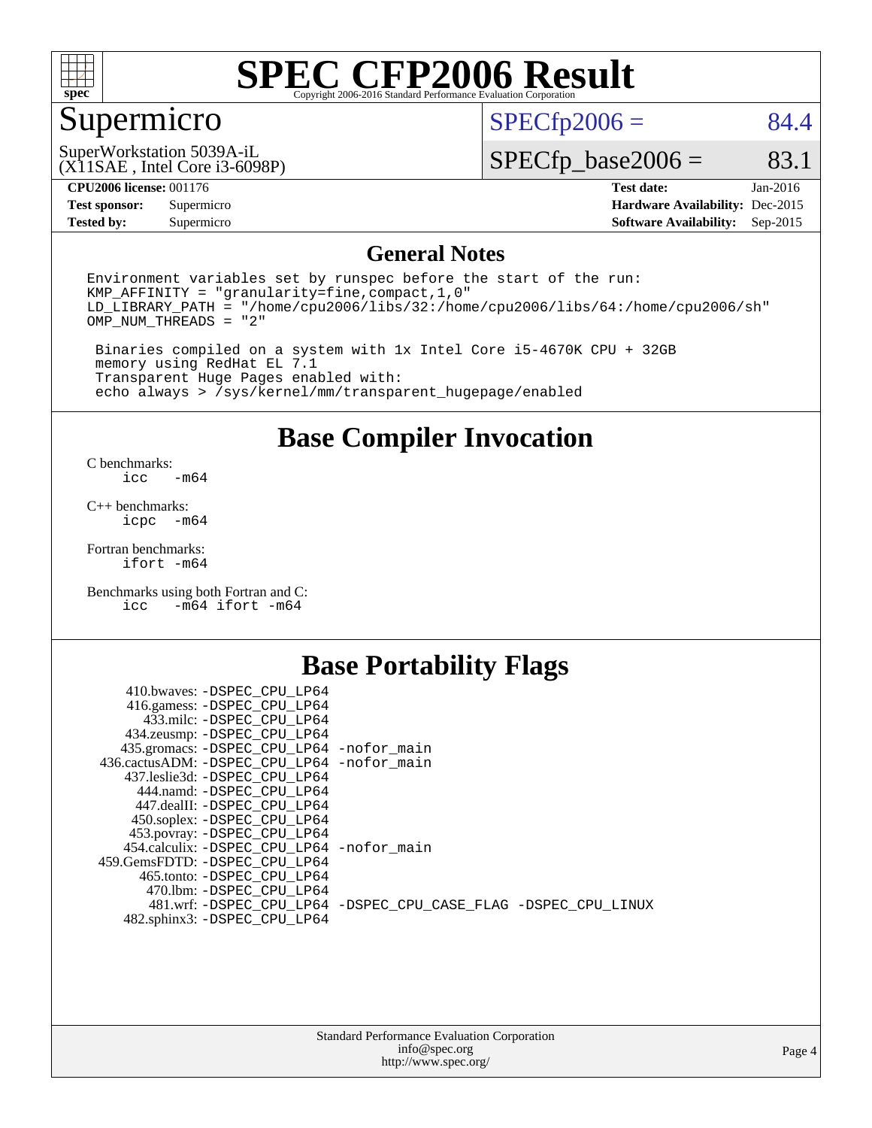

## Supermicro

 $SPECfp2006 = 84.4$  $SPECfp2006 = 84.4$ 

(X11SAE , Intel Core i3-6098P) SuperWorkstation 5039A-iL

 $SPECTp\_base2006 =$  83.1

| 12006<br>$\sim$ di<br>001<br>-licenser<br>/6 | dato<br>$\alpha$ $\alpha$<br>uau | $\Omega$<br>Jan- |
|----------------------------------------------|----------------------------------|------------------|

**[Tested by:](http://www.spec.org/auto/cpu2006/Docs/result-fields.html#Testedby)** Supermicro **Supermicro [Software Availability:](http://www.spec.org/auto/cpu2006/Docs/result-fields.html#SoftwareAvailability)** Sep-2015

**[Test sponsor:](http://www.spec.org/auto/cpu2006/Docs/result-fields.html#Testsponsor)** Supermicro **[Hardware Availability:](http://www.spec.org/auto/cpu2006/Docs/result-fields.html#HardwareAvailability)** Dec-2015

### **[General Notes](http://www.spec.org/auto/cpu2006/Docs/result-fields.html#GeneralNotes)**

Environment variables set by runspec before the start of the run: KMP\_AFFINITY = "granularity=fine,compact,1,0" LD\_LIBRARY\_PATH = "/home/cpu2006/libs/32:/home/cpu2006/libs/64:/home/cpu2006/sh" OMP\_NUM\_THREADS = "2"

 Binaries compiled on a system with 1x Intel Core i5-4670K CPU + 32GB memory using RedHat EL 7.1 Transparent Huge Pages enabled with: echo always > /sys/kernel/mm/transparent\_hugepage/enabled

### **[Base Compiler Invocation](http://www.spec.org/auto/cpu2006/Docs/result-fields.html#BaseCompilerInvocation)**

[C benchmarks](http://www.spec.org/auto/cpu2006/Docs/result-fields.html#Cbenchmarks):  $-m64$ 

[C++ benchmarks:](http://www.spec.org/auto/cpu2006/Docs/result-fields.html#CXXbenchmarks) [icpc -m64](http://www.spec.org/cpu2006/results/res2016q1/cpu2006-20160206-39006.flags.html#user_CXXbase_intel_icpc_64bit_bedb90c1146cab66620883ef4f41a67e)

[Fortran benchmarks](http://www.spec.org/auto/cpu2006/Docs/result-fields.html#Fortranbenchmarks): [ifort -m64](http://www.spec.org/cpu2006/results/res2016q1/cpu2006-20160206-39006.flags.html#user_FCbase_intel_ifort_64bit_ee9d0fb25645d0210d97eb0527dcc06e)

[Benchmarks using both Fortran and C](http://www.spec.org/auto/cpu2006/Docs/result-fields.html#BenchmarksusingbothFortranandC): [icc -m64](http://www.spec.org/cpu2006/results/res2016q1/cpu2006-20160206-39006.flags.html#user_CC_FCbase_intel_icc_64bit_0b7121f5ab7cfabee23d88897260401c) [ifort -m64](http://www.spec.org/cpu2006/results/res2016q1/cpu2006-20160206-39006.flags.html#user_CC_FCbase_intel_ifort_64bit_ee9d0fb25645d0210d97eb0527dcc06e)

### **[Base Portability Flags](http://www.spec.org/auto/cpu2006/Docs/result-fields.html#BasePortabilityFlags)**

| 410.bwaves: -DSPEC CPU LP64                 |                                                                |
|---------------------------------------------|----------------------------------------------------------------|
| 416.gamess: -DSPEC_CPU_LP64                 |                                                                |
| 433.milc: -DSPEC CPU LP64                   |                                                                |
| 434.zeusmp: -DSPEC_CPU_LP64                 |                                                                |
| 435.gromacs: -DSPEC_CPU_LP64 -nofor_main    |                                                                |
| 436.cactusADM: -DSPEC CPU LP64 -nofor main  |                                                                |
| 437.leslie3d: -DSPEC CPU LP64               |                                                                |
| 444.namd: -DSPEC CPU LP64                   |                                                                |
| 447.dealII: -DSPEC CPU LP64                 |                                                                |
| 450.soplex: -DSPEC_CPU_LP64                 |                                                                |
| 453.povray: -DSPEC_CPU_LP64                 |                                                                |
| 454.calculix: - DSPEC CPU LP64 - nofor main |                                                                |
| 459.GemsFDTD: - DSPEC_CPU LP64              |                                                                |
| 465.tonto: - DSPEC CPU LP64                 |                                                                |
| 470.1bm: - DSPEC CPU LP64                   |                                                                |
|                                             | 481.wrf: -DSPEC_CPU_LP64 -DSPEC_CPU_CASE_FLAG -DSPEC_CPU_LINUX |
| 482.sphinx3: -DSPEC_CPU_LP64                |                                                                |
|                                             |                                                                |

| <b>Standard Performance Evaluation Corporation</b> |
|----------------------------------------------------|
| info@spec.org                                      |
| http://www.spec.org/                               |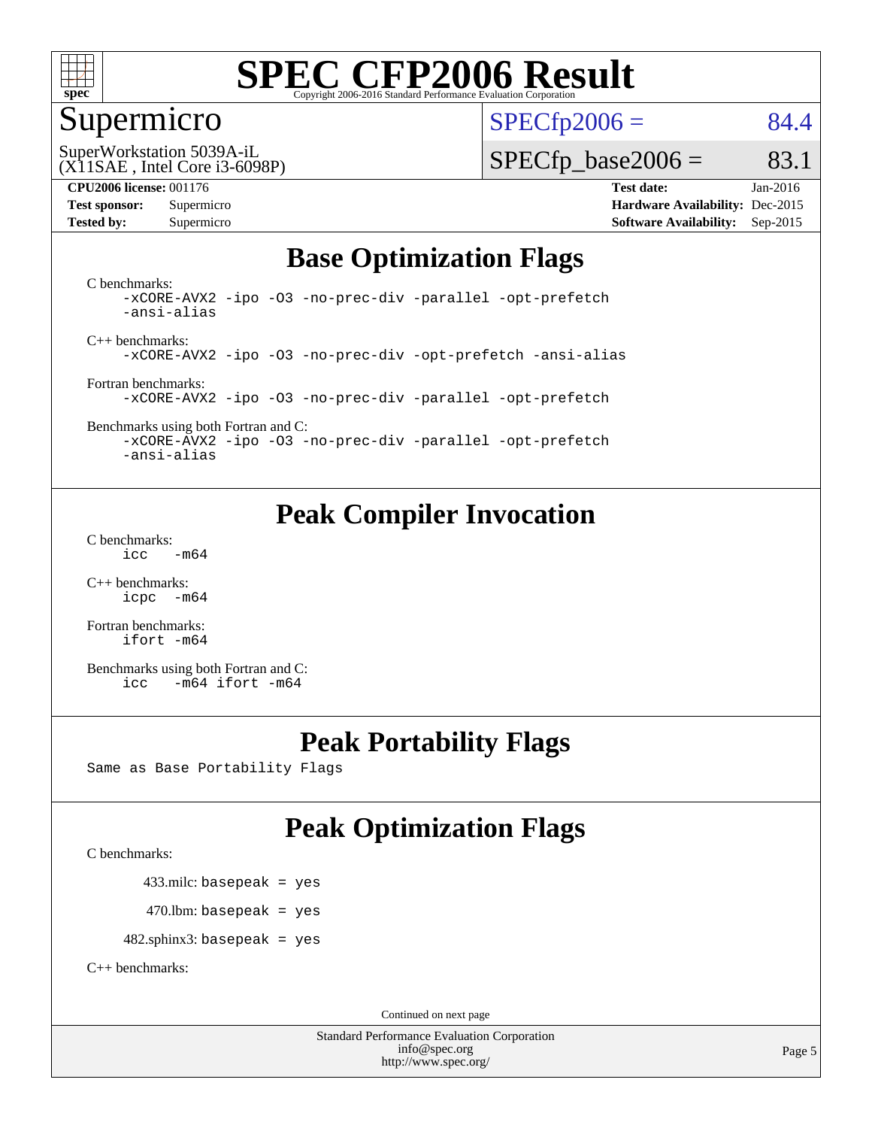

### Supermicro

 $SPECTp2006 = 84.4$ 

(X11SAE , Intel Core i3-6098P) SuperWorkstation 5039A-iL

 $SPECTp\_base2006 =$  83.1

**[CPU2006 license:](http://www.spec.org/auto/cpu2006/Docs/result-fields.html#CPU2006license)** 001176 **[Test date:](http://www.spec.org/auto/cpu2006/Docs/result-fields.html#Testdate)** Jan-2016 **[Test sponsor:](http://www.spec.org/auto/cpu2006/Docs/result-fields.html#Testsponsor)** Supermicro **[Hardware Availability:](http://www.spec.org/auto/cpu2006/Docs/result-fields.html#HardwareAvailability)** Dec-2015 **[Tested by:](http://www.spec.org/auto/cpu2006/Docs/result-fields.html#Testedby)** Supermicro **Supermicro [Software Availability:](http://www.spec.org/auto/cpu2006/Docs/result-fields.html#SoftwareAvailability)** Sep-2015

### **[Base Optimization Flags](http://www.spec.org/auto/cpu2006/Docs/result-fields.html#BaseOptimizationFlags)**

[C benchmarks](http://www.spec.org/auto/cpu2006/Docs/result-fields.html#Cbenchmarks): [-xCORE-AVX2](http://www.spec.org/cpu2006/results/res2016q1/cpu2006-20160206-39006.flags.html#user_CCbase_f-xAVX2_5f5fc0cbe2c9f62c816d3e45806c70d7) [-ipo](http://www.spec.org/cpu2006/results/res2016q1/cpu2006-20160206-39006.flags.html#user_CCbase_f-ipo) [-O3](http://www.spec.org/cpu2006/results/res2016q1/cpu2006-20160206-39006.flags.html#user_CCbase_f-O3) [-no-prec-div](http://www.spec.org/cpu2006/results/res2016q1/cpu2006-20160206-39006.flags.html#user_CCbase_f-no-prec-div) [-parallel](http://www.spec.org/cpu2006/results/res2016q1/cpu2006-20160206-39006.flags.html#user_CCbase_f-parallel) [-opt-prefetch](http://www.spec.org/cpu2006/results/res2016q1/cpu2006-20160206-39006.flags.html#user_CCbase_f-opt-prefetch) [-ansi-alias](http://www.spec.org/cpu2006/results/res2016q1/cpu2006-20160206-39006.flags.html#user_CCbase_f-ansi-alias)

[C++ benchmarks:](http://www.spec.org/auto/cpu2006/Docs/result-fields.html#CXXbenchmarks) [-xCORE-AVX2](http://www.spec.org/cpu2006/results/res2016q1/cpu2006-20160206-39006.flags.html#user_CXXbase_f-xAVX2_5f5fc0cbe2c9f62c816d3e45806c70d7) [-ipo](http://www.spec.org/cpu2006/results/res2016q1/cpu2006-20160206-39006.flags.html#user_CXXbase_f-ipo) [-O3](http://www.spec.org/cpu2006/results/res2016q1/cpu2006-20160206-39006.flags.html#user_CXXbase_f-O3) [-no-prec-div](http://www.spec.org/cpu2006/results/res2016q1/cpu2006-20160206-39006.flags.html#user_CXXbase_f-no-prec-div) [-opt-prefetch](http://www.spec.org/cpu2006/results/res2016q1/cpu2006-20160206-39006.flags.html#user_CXXbase_f-opt-prefetch) [-ansi-alias](http://www.spec.org/cpu2006/results/res2016q1/cpu2006-20160206-39006.flags.html#user_CXXbase_f-ansi-alias)

[Fortran benchmarks](http://www.spec.org/auto/cpu2006/Docs/result-fields.html#Fortranbenchmarks): [-xCORE-AVX2](http://www.spec.org/cpu2006/results/res2016q1/cpu2006-20160206-39006.flags.html#user_FCbase_f-xAVX2_5f5fc0cbe2c9f62c816d3e45806c70d7) [-ipo](http://www.spec.org/cpu2006/results/res2016q1/cpu2006-20160206-39006.flags.html#user_FCbase_f-ipo) [-O3](http://www.spec.org/cpu2006/results/res2016q1/cpu2006-20160206-39006.flags.html#user_FCbase_f-O3) [-no-prec-div](http://www.spec.org/cpu2006/results/res2016q1/cpu2006-20160206-39006.flags.html#user_FCbase_f-no-prec-div) [-parallel](http://www.spec.org/cpu2006/results/res2016q1/cpu2006-20160206-39006.flags.html#user_FCbase_f-parallel) [-opt-prefetch](http://www.spec.org/cpu2006/results/res2016q1/cpu2006-20160206-39006.flags.html#user_FCbase_f-opt-prefetch)

[Benchmarks using both Fortran and C](http://www.spec.org/auto/cpu2006/Docs/result-fields.html#BenchmarksusingbothFortranandC): [-xCORE-AVX2](http://www.spec.org/cpu2006/results/res2016q1/cpu2006-20160206-39006.flags.html#user_CC_FCbase_f-xAVX2_5f5fc0cbe2c9f62c816d3e45806c70d7) [-ipo](http://www.spec.org/cpu2006/results/res2016q1/cpu2006-20160206-39006.flags.html#user_CC_FCbase_f-ipo) [-O3](http://www.spec.org/cpu2006/results/res2016q1/cpu2006-20160206-39006.flags.html#user_CC_FCbase_f-O3) [-no-prec-div](http://www.spec.org/cpu2006/results/res2016q1/cpu2006-20160206-39006.flags.html#user_CC_FCbase_f-no-prec-div) [-parallel](http://www.spec.org/cpu2006/results/res2016q1/cpu2006-20160206-39006.flags.html#user_CC_FCbase_f-parallel) [-opt-prefetch](http://www.spec.org/cpu2006/results/res2016q1/cpu2006-20160206-39006.flags.html#user_CC_FCbase_f-opt-prefetch)

[-ansi-alias](http://www.spec.org/cpu2006/results/res2016q1/cpu2006-20160206-39006.flags.html#user_CC_FCbase_f-ansi-alias)

## **[Peak Compiler Invocation](http://www.spec.org/auto/cpu2006/Docs/result-fields.html#PeakCompilerInvocation)**

[C benchmarks](http://www.spec.org/auto/cpu2006/Docs/result-fields.html#Cbenchmarks):  $\text{icc}$   $-\text{m64}$ 

[C++ benchmarks:](http://www.spec.org/auto/cpu2006/Docs/result-fields.html#CXXbenchmarks) [icpc -m64](http://www.spec.org/cpu2006/results/res2016q1/cpu2006-20160206-39006.flags.html#user_CXXpeak_intel_icpc_64bit_bedb90c1146cab66620883ef4f41a67e)

[Fortran benchmarks](http://www.spec.org/auto/cpu2006/Docs/result-fields.html#Fortranbenchmarks): [ifort -m64](http://www.spec.org/cpu2006/results/res2016q1/cpu2006-20160206-39006.flags.html#user_FCpeak_intel_ifort_64bit_ee9d0fb25645d0210d97eb0527dcc06e)

[Benchmarks using both Fortran and C](http://www.spec.org/auto/cpu2006/Docs/result-fields.html#BenchmarksusingbothFortranandC): [icc -m64](http://www.spec.org/cpu2006/results/res2016q1/cpu2006-20160206-39006.flags.html#user_CC_FCpeak_intel_icc_64bit_0b7121f5ab7cfabee23d88897260401c) [ifort -m64](http://www.spec.org/cpu2006/results/res2016q1/cpu2006-20160206-39006.flags.html#user_CC_FCpeak_intel_ifort_64bit_ee9d0fb25645d0210d97eb0527dcc06e)

## **[Peak Portability Flags](http://www.spec.org/auto/cpu2006/Docs/result-fields.html#PeakPortabilityFlags)**

Same as Base Portability Flags

## **[Peak Optimization Flags](http://www.spec.org/auto/cpu2006/Docs/result-fields.html#PeakOptimizationFlags)**

[C benchmarks](http://www.spec.org/auto/cpu2006/Docs/result-fields.html#Cbenchmarks):

433.milc: basepeak = yes

 $470.$ lbm: basepeak = yes

482.sphinx3: basepeak = yes

[C++ benchmarks:](http://www.spec.org/auto/cpu2006/Docs/result-fields.html#CXXbenchmarks)

Continued on next page

Standard Performance Evaluation Corporation [info@spec.org](mailto:info@spec.org) <http://www.spec.org/>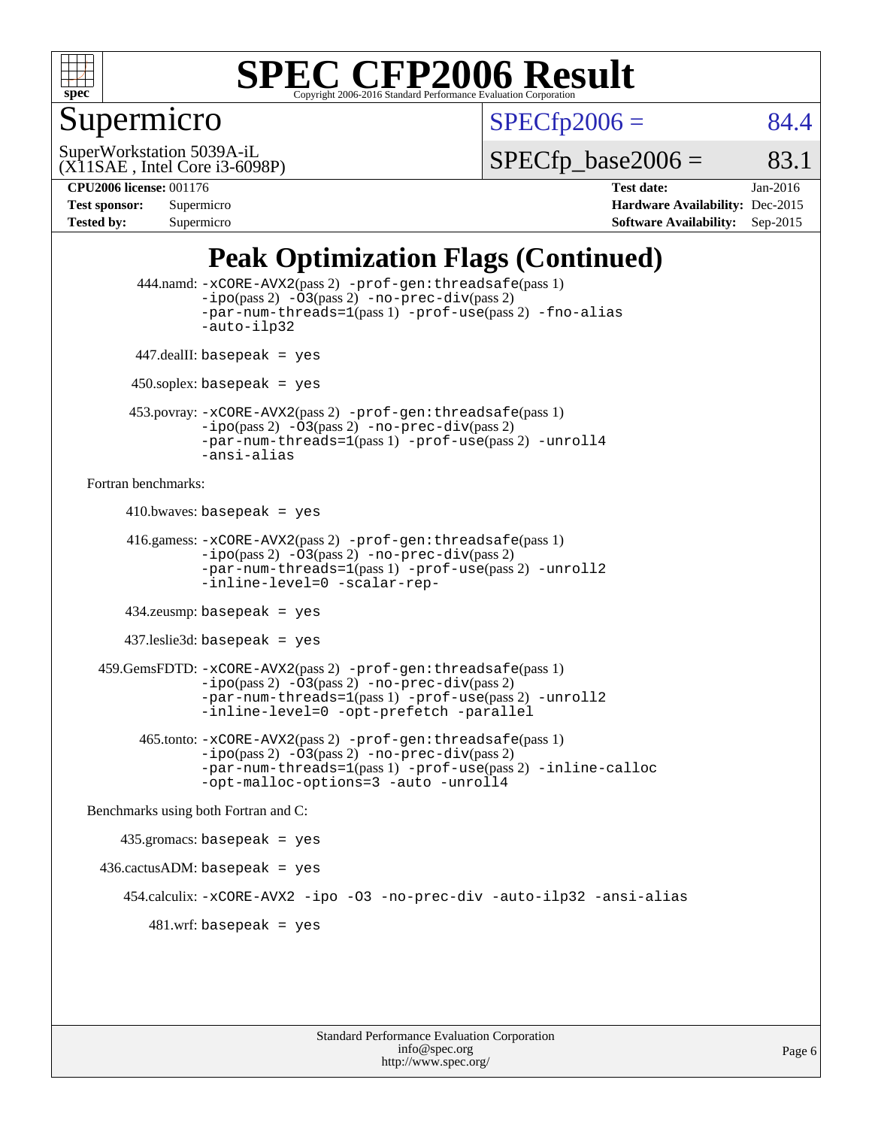

## Supermicro

 $SPECTp2006 = 84.4$ 

(X11SAE , Intel Core i3-6098P) SuperWorkstation 5039A-iL

 $SPECTp\_base2006 =$  83.1

**[CPU2006 license:](http://www.spec.org/auto/cpu2006/Docs/result-fields.html#CPU2006license)** 001176 **[Test date:](http://www.spec.org/auto/cpu2006/Docs/result-fields.html#Testdate)** Jan-2016 **[Test sponsor:](http://www.spec.org/auto/cpu2006/Docs/result-fields.html#Testsponsor)** Supermicro **[Hardware Availability:](http://www.spec.org/auto/cpu2006/Docs/result-fields.html#HardwareAvailability)** Dec-2015 **[Tested by:](http://www.spec.org/auto/cpu2006/Docs/result-fields.html#Testedby)** Supermicro **Supermicro [Software Availability:](http://www.spec.org/auto/cpu2006/Docs/result-fields.html#SoftwareAvailability)** Sep-2015

## **[Peak Optimization Flags \(Continued\)](http://www.spec.org/auto/cpu2006/Docs/result-fields.html#PeakOptimizationFlags)**

```
 444.namd: -xCORE-AVX2(pass 2) -prof-gen:threadsafe(pass 1)
               -ipo(pass 2) -03(pass 2) -no-prec-div(pass 2)
               -par-num-threads=1(pass 1) -prof-use(pass 2) -fno-alias
               -auto-ilp32
      447.dealII: basepeak = yes
      450.soplex: basepeak = yes
      453.povray: -xCORE-AVX2(pass 2) -prof-gen:threadsafe(pass 1)
               -no-prec-div(pass 2)-par-num-threads=1(pass 1) -prof-use(pass 2) -unroll4
               -ansi-alias
Fortran benchmarks: 
     410.bwaves: basepeak = yes 416.gamess: -xCORE-AVX2(pass 2) -prof-gen:threadsafe(pass 1)
               -ipo(pass 2) -03(pass 2) -no-prec-div(pass 2)-par-num-threads=1(pass 1) -prof-use(pass 2) -unroll2
               -inline-level=0 -scalar-rep-
      434.zeusmp: basepeak = yes
     437.leslie3d: basepeak = yes
  459.GemsFDTD: -xCORE-AVX2(pass 2) -prof-gen:threadsafe(pass 1)
               -i\text{po}(pass 2) -\tilde{O}3(pass 2)-no-prec-div(pass 2)
               -par-num-threads=1(pass 1) -prof-use(pass 2) -unroll2
               -inline-level=0 -opt-prefetch -parallel
       465.tonto: -xCORE-AVX2(pass 2) -prof-gen:threadsafe(pass 1)
               -no-prec-div(pass 2)-par-num-threads=1(pass 1) -prof-use(pass 2) -inline-calloc
               -opt-malloc-options=3 -auto -unroll4
Benchmarks using both Fortran and C: 
     435.gromacs: basepeak = yes
 436.cactusADM:basepeak = yes 454.calculix: -xCORE-AVX2 -ipo -O3 -no-prec-div -auto-ilp32 -ansi-alias
        481 \text{.m}: basepeak = yes
```